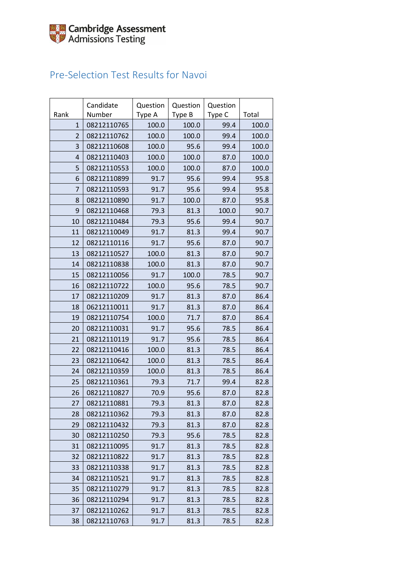### Pre-Selection Test Results for Navoi

| Rank           | Candidate<br>Number | Question<br>Type A | Question<br>Type B | Question<br>Type C | Total |
|----------------|---------------------|--------------------|--------------------|--------------------|-------|
| $\mathbf{1}$   | 08212110765         | 100.0              | 100.0              | 99.4               | 100.0 |
| $\overline{2}$ | 08212110762         | 100.0              | 100.0              | 99.4               | 100.0 |
| 3              | 08212110608         | 100.0              | 95.6               | 99.4               | 100.0 |
| $\overline{4}$ | 08212110403         | 100.0              | 100.0              | 87.0               | 100.0 |
| 5              | 08212110553         | 100.0              | 100.0              | 87.0               | 100.0 |
| 6              | 08212110899         | 91.7               | 95.6               | 99.4               | 95.8  |
| 7              | 08212110593         | 91.7               | 95.6               | 99.4               | 95.8  |
| 8              | 08212110890         | 91.7               | 100.0              | 87.0               | 95.8  |
| 9              | 08212110468         | 79.3               | 81.3               | 100.0              | 90.7  |
| 10             | 08212110484         | 79.3               | 95.6               | 99.4               | 90.7  |
| 11             | 08212110049         | 91.7               | 81.3               | 99.4               | 90.7  |
| 12             | 08212110116         | 91.7               | 95.6               | 87.0               | 90.7  |
| 13             | 08212110527         | 100.0              | 81.3               | 87.0               | 90.7  |
| 14             | 08212110838         | 100.0              | 81.3               | 87.0               | 90.7  |
| 15             | 08212110056         | 91.7               | 100.0              | 78.5               | 90.7  |
| 16             | 08212110722         | 100.0              | 95.6               | 78.5               | 90.7  |
| 17             | 08212110209         | 91.7               | 81.3               | 87.0               | 86.4  |
| 18             | 06212110011         | 91.7               | 81.3               | 87.0               | 86.4  |
| 19             | 08212110754         | 100.0              | 71.7               | 87.0               | 86.4  |
| 20             | 08212110031         | 91.7               | 95.6               | 78.5               | 86.4  |
| 21             | 08212110119         | 91.7               | 95.6               | 78.5               | 86.4  |
| 22             | 08212110416         | 100.0              | 81.3               | 78.5               | 86.4  |
| 23             | 08212110642         | 100.0              | 81.3               | 78.5               | 86.4  |
| 24             | 08212110359         | 100.0              | 81.3               | 78.5               | 86.4  |
| 25             | 08212110361         | 79.3               | 71.7               | 99.4               | 82.8  |
| 26             | 08212110827         | 70.9               | 95.6               | 87.0               | 82.8  |
| 27             | 08212110881         | 79.3               | 81.3               | 87.0               | 82.8  |
| 28             | 08212110362         | 79.3               | 81.3               | 87.0               | 82.8  |
| 29             | 08212110432         | 79.3               | 81.3               | 87.0               | 82.8  |
| 30             | 08212110250         | 79.3               | 95.6               | 78.5               | 82.8  |
| 31             | 08212110095         | 91.7               | 81.3               | 78.5               | 82.8  |
| 32             | 08212110822         | 91.7               | 81.3               | 78.5               | 82.8  |
| 33             | 08212110338         | 91.7               | 81.3               | 78.5               | 82.8  |
| 34             | 08212110521         | 91.7               | 81.3               | 78.5               | 82.8  |
| 35             | 08212110279         | 91.7               | 81.3               | 78.5               | 82.8  |
| 36             | 08212110294         | 91.7               | 81.3               | 78.5               | 82.8  |
| 37             | 08212110262         | 91.7               | 81.3               | 78.5               | 82.8  |
| 38             | 08212110763         | 91.7               | 81.3               | 78.5               | 82.8  |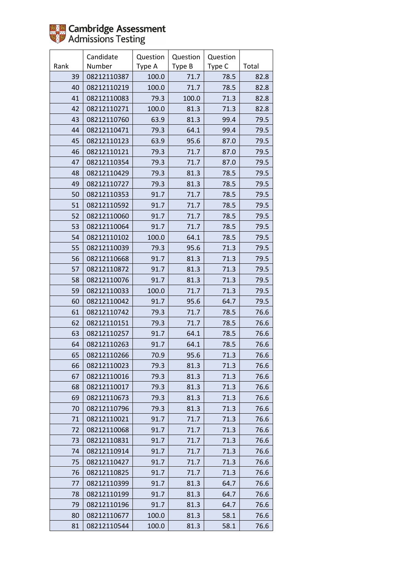

|      | Candidate   | Question | Question | Question |       |
|------|-------------|----------|----------|----------|-------|
| Rank | Number      | Type A   | Type B   | Type C   | Total |
| 39   | 08212110387 | 100.0    | 71.7     | 78.5     | 82.8  |
| 40   | 08212110219 | 100.0    | 71.7     | 78.5     | 82.8  |
| 41   | 08212110083 | 79.3     | 100.0    | 71.3     | 82.8  |
| 42   | 08212110271 | 100.0    | 81.3     | 71.3     | 82.8  |
| 43   | 08212110760 | 63.9     | 81.3     | 99.4     | 79.5  |
| 44   | 08212110471 | 79.3     | 64.1     | 99.4     | 79.5  |
| 45   | 08212110123 | 63.9     | 95.6     | 87.0     | 79.5  |
| 46   | 08212110121 | 79.3     | 71.7     | 87.0     | 79.5  |
| 47   | 08212110354 | 79.3     | 71.7     | 87.0     | 79.5  |
| 48   | 08212110429 | 79.3     | 81.3     | 78.5     | 79.5  |
| 49   | 08212110727 | 79.3     | 81.3     | 78.5     | 79.5  |
| 50   | 08212110353 | 91.7     | 71.7     | 78.5     | 79.5  |
| 51   | 08212110592 | 91.7     | 71.7     | 78.5     | 79.5  |
| 52   | 08212110060 | 91.7     | 71.7     | 78.5     | 79.5  |
| 53   | 08212110064 | 91.7     | 71.7     | 78.5     | 79.5  |
| 54   | 08212110102 | 100.0    | 64.1     | 78.5     | 79.5  |
| 55   | 08212110039 | 79.3     | 95.6     | 71.3     | 79.5  |
| 56   | 08212110668 | 91.7     | 81.3     | 71.3     | 79.5  |
| 57   | 08212110872 | 91.7     | 81.3     | 71.3     | 79.5  |
| 58   | 08212110076 | 91.7     | 81.3     | 71.3     | 79.5  |
| 59   | 08212110033 | 100.0    | 71.7     | 71.3     | 79.5  |
| 60   | 08212110042 | 91.7     | 95.6     | 64.7     | 79.5  |
| 61   | 08212110742 | 79.3     | 71.7     | 78.5     | 76.6  |
| 62   | 08212110151 | 79.3     | 71.7     | 78.5     | 76.6  |
| 63   | 08212110257 | 91.7     | 64.1     | 78.5     | 76.6  |
| 64   | 08212110263 | 91.7     | 64.1     | 78.5     | 76.6  |
| 65   | 08212110266 | 70.9     | 95.6     | 71.3     | 76.6  |
| 66   | 08212110023 | 79.3     | 81.3     | 71.3     | 76.6  |
| 67   | 08212110016 | 79.3     | 81.3     | 71.3     | 76.6  |
| 68   | 08212110017 | 79.3     | 81.3     | 71.3     | 76.6  |
| 69   | 08212110673 | 79.3     | 81.3     | 71.3     | 76.6  |
| 70   | 08212110796 | 79.3     | 81.3     | 71.3     | 76.6  |
| 71   | 08212110021 | 91.7     | 71.7     | 71.3     | 76.6  |
| 72   | 08212110068 | 91.7     | 71.7     | 71.3     | 76.6  |
| 73   | 08212110831 | 91.7     | 71.7     | 71.3     | 76.6  |
| 74   | 08212110914 | 91.7     | 71.7     | 71.3     | 76.6  |
| 75   | 08212110427 | 91.7     | 71.7     | 71.3     | 76.6  |
| 76   | 08212110825 | 91.7     | 71.7     | 71.3     | 76.6  |
| 77   | 08212110399 | 91.7     | 81.3     | 64.7     | 76.6  |
| 78   | 08212110199 | 91.7     | 81.3     | 64.7     | 76.6  |
| 79   | 08212110196 | 91.7     | 81.3     | 64.7     | 76.6  |
| 80   | 08212110677 | 100.0    | 81.3     | 58.1     | 76.6  |
| 81   | 08212110544 | 100.0    | 81.3     | 58.1     | 76.6  |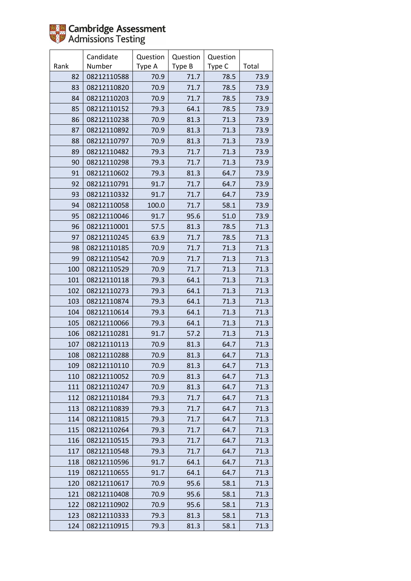

|      | Candidate   | Question | Question | Question |       |
|------|-------------|----------|----------|----------|-------|
| Rank | Number      | Type A   | Type B   | Type C   | Total |
| 82   | 08212110588 | 70.9     | 71.7     | 78.5     | 73.9  |
| 83   | 08212110820 | 70.9     | 71.7     | 78.5     | 73.9  |
| 84   | 08212110203 | 70.9     | 71.7     | 78.5     | 73.9  |
| 85   | 08212110152 | 79.3     | 64.1     | 78.5     | 73.9  |
| 86   | 08212110238 | 70.9     | 81.3     | 71.3     | 73.9  |
| 87   | 08212110892 | 70.9     | 81.3     | 71.3     | 73.9  |
| 88   | 08212110797 | 70.9     | 81.3     | 71.3     | 73.9  |
| 89   | 08212110482 | 79.3     | 71.7     | 71.3     | 73.9  |
| 90   | 08212110298 | 79.3     | 71.7     | 71.3     | 73.9  |
| 91   | 08212110602 | 79.3     | 81.3     | 64.7     | 73.9  |
| 92   | 08212110791 | 91.7     | 71.7     | 64.7     | 73.9  |
| 93   | 08212110332 | 91.7     | 71.7     | 64.7     | 73.9  |
| 94   | 08212110058 | 100.0    | 71.7     | 58.1     | 73.9  |
| 95   | 08212110046 | 91.7     | 95.6     | 51.0     | 73.9  |
| 96   | 08212110001 | 57.5     | 81.3     | 78.5     | 71.3  |
| 97   | 08212110245 | 63.9     | 71.7     | 78.5     | 71.3  |
| 98   | 08212110185 | 70.9     | 71.7     | 71.3     | 71.3  |
| 99   | 08212110542 | 70.9     | 71.7     | 71.3     | 71.3  |
| 100  | 08212110529 | 70.9     | 71.7     | 71.3     | 71.3  |
| 101  | 08212110118 | 79.3     | 64.1     | 71.3     | 71.3  |
| 102  | 08212110273 | 79.3     | 64.1     | 71.3     | 71.3  |
| 103  | 08212110874 | 79.3     | 64.1     | 71.3     | 71.3  |
| 104  | 08212110614 | 79.3     | 64.1     | 71.3     | 71.3  |
| 105  | 08212110066 | 79.3     | 64.1     | 71.3     | 71.3  |
| 106  | 08212110281 | 91.7     | 57.2     | 71.3     | 71.3  |
| 107  | 08212110113 | 70.9     | 81.3     | 64.7     | 71.3  |
| 108  | 08212110288 | 70.9     | 81.3     | 64.7     | 71.3  |
| 109  | 08212110110 | 70.9     | 81.3     | 64.7     | 71.3  |
| 110  | 08212110052 | 70.9     | 81.3     | 64.7     | 71.3  |
| 111  | 08212110247 | 70.9     | 81.3     | 64.7     | 71.3  |
| 112  | 08212110184 | 79.3     | 71.7     | 64.7     | 71.3  |
| 113  | 08212110839 | 79.3     | 71.7     | 64.7     | 71.3  |
| 114  | 08212110815 | 79.3     | 71.7     | 64.7     | 71.3  |
| 115  | 08212110264 | 79.3     | 71.7     | 64.7     | 71.3  |
| 116  | 08212110515 | 79.3     | 71.7     | 64.7     | 71.3  |
| 117  | 08212110548 | 79.3     | 71.7     | 64.7     | 71.3  |
| 118  | 08212110596 | 91.7     | 64.1     | 64.7     | 71.3  |
| 119  | 08212110655 | 91.7     | 64.1     | 64.7     | 71.3  |
| 120  | 08212110617 | 70.9     | 95.6     | 58.1     | 71.3  |
| 121  | 08212110408 | 70.9     | 95.6     | 58.1     | 71.3  |
| 122  | 08212110902 | 70.9     | 95.6     | 58.1     | 71.3  |
| 123  | 08212110333 | 79.3     | 81.3     | 58.1     | 71.3  |
| 124  | 08212110915 | 79.3     | 81.3     | 58.1     | 71.3  |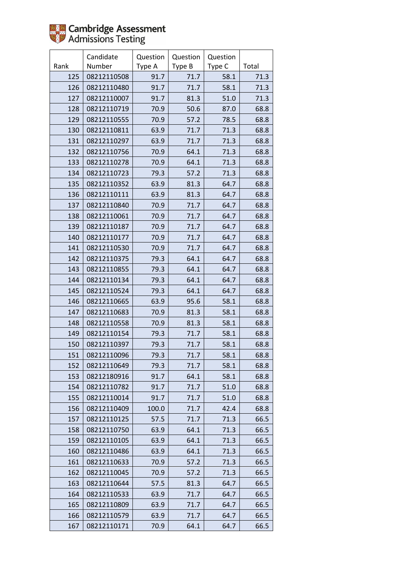

|      | Candidate   | Question | Question | Question |       |
|------|-------------|----------|----------|----------|-------|
| Rank | Number      | Type A   | Type B   | Type C   | Total |
| 125  | 08212110508 | 91.7     | 71.7     | 58.1     | 71.3  |
| 126  | 08212110480 | 91.7     | 71.7     | 58.1     | 71.3  |
| 127  | 08212110007 | 91.7     | 81.3     | 51.0     | 71.3  |
| 128  | 08212110719 | 70.9     | 50.6     | 87.0     | 68.8  |
| 129  | 08212110555 | 70.9     | 57.2     | 78.5     | 68.8  |
| 130  | 08212110811 | 63.9     | 71.7     | 71.3     | 68.8  |
| 131  | 08212110297 | 63.9     | 71.7     | 71.3     | 68.8  |
| 132  | 08212110756 | 70.9     | 64.1     | 71.3     | 68.8  |
| 133  | 08212110278 | 70.9     | 64.1     | 71.3     | 68.8  |
| 134  | 08212110723 | 79.3     | 57.2     | 71.3     | 68.8  |
| 135  | 08212110352 | 63.9     | 81.3     | 64.7     | 68.8  |
| 136  | 08212110111 | 63.9     | 81.3     | 64.7     | 68.8  |
| 137  | 08212110840 | 70.9     | 71.7     | 64.7     | 68.8  |
| 138  | 08212110061 | 70.9     | 71.7     | 64.7     | 68.8  |
| 139  | 08212110187 | 70.9     | 71.7     | 64.7     | 68.8  |
| 140  | 08212110177 | 70.9     | 71.7     | 64.7     | 68.8  |
| 141  | 08212110530 | 70.9     | 71.7     | 64.7     | 68.8  |
| 142  | 08212110375 | 79.3     | 64.1     | 64.7     | 68.8  |
| 143  | 08212110855 | 79.3     | 64.1     | 64.7     | 68.8  |
| 144  | 08212110134 | 79.3     | 64.1     | 64.7     | 68.8  |
| 145  | 08212110524 | 79.3     | 64.1     | 64.7     | 68.8  |
| 146  | 08212110665 | 63.9     | 95.6     | 58.1     | 68.8  |
| 147  | 08212110683 | 70.9     | 81.3     | 58.1     | 68.8  |
| 148  | 08212110558 | 70.9     | 81.3     | 58.1     | 68.8  |
| 149  | 08212110154 | 79.3     | 71.7     | 58.1     | 68.8  |
| 150  | 08212110397 | 79.3     | 71.7     | 58.1     | 68.8  |
| 151  | 08212110096 | 79.3     | 71.7     | 58.1     | 68.8  |
| 152  | 08212110649 | 79.3     | 71.7     | 58.1     | 68.8  |
| 153  | 08212180916 | 91.7     | 64.1     | 58.1     | 68.8  |
| 154  | 08212110782 | 91.7     | 71.7     | 51.0     | 68.8  |
| 155  | 08212110014 | 91.7     | 71.7     | 51.0     | 68.8  |
| 156  | 08212110409 | 100.0    | 71.7     | 42.4     | 68.8  |
| 157  | 08212110125 | 57.5     | 71.7     | 71.3     | 66.5  |
| 158  | 08212110750 | 63.9     | 64.1     | 71.3     | 66.5  |
| 159  | 08212110105 | 63.9     | 64.1     | 71.3     | 66.5  |
| 160  | 08212110486 | 63.9     | 64.1     | 71.3     | 66.5  |
| 161  | 08212110633 | 70.9     | 57.2     | 71.3     | 66.5  |
| 162  | 08212110045 | 70.9     | 57.2     | 71.3     | 66.5  |
| 163  | 08212110644 | 57.5     | 81.3     | 64.7     | 66.5  |
| 164  | 08212110533 | 63.9     | 71.7     | 64.7     | 66.5  |
| 165  | 08212110809 | 63.9     | 71.7     | 64.7     | 66.5  |
| 166  | 08212110579 | 63.9     | 71.7     | 64.7     | 66.5  |
| 167  | 08212110171 | 70.9     | 64.1     | 64.7     | 66.5  |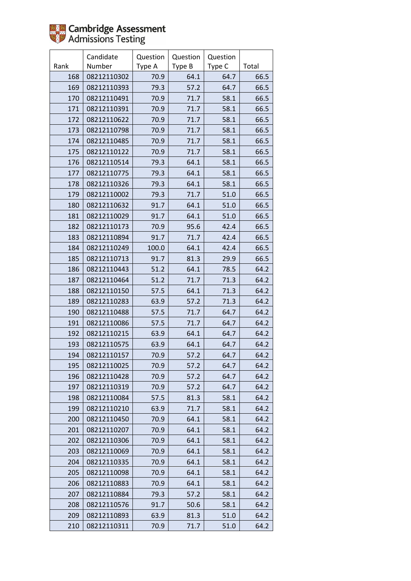|      | Candidate   | Question | Question | Question |       |
|------|-------------|----------|----------|----------|-------|
| Rank | Number      | Type A   | Type B   | Type C   | Total |
| 168  | 08212110302 | 70.9     | 64.1     | 64.7     | 66.5  |
| 169  | 08212110393 | 79.3     | 57.2     | 64.7     | 66.5  |
| 170  | 08212110491 | 70.9     | 71.7     | 58.1     | 66.5  |
| 171  | 08212110391 | 70.9     | 71.7     | 58.1     | 66.5  |
| 172  | 08212110622 | 70.9     | 71.7     | 58.1     | 66.5  |
| 173  | 08212110798 | 70.9     | 71.7     | 58.1     | 66.5  |
| 174  | 08212110485 | 70.9     | 71.7     | 58.1     | 66.5  |
| 175  | 08212110122 | 70.9     | 71.7     | 58.1     | 66.5  |
| 176  | 08212110514 | 79.3     | 64.1     | 58.1     | 66.5  |
| 177  | 08212110775 | 79.3     | 64.1     | 58.1     | 66.5  |
| 178  | 08212110326 | 79.3     | 64.1     | 58.1     | 66.5  |
| 179  | 08212110002 | 79.3     | 71.7     | 51.0     | 66.5  |
| 180  | 08212110632 | 91.7     | 64.1     | 51.0     | 66.5  |
| 181  | 08212110029 | 91.7     | 64.1     | 51.0     | 66.5  |
| 182  | 08212110173 | 70.9     | 95.6     | 42.4     | 66.5  |
| 183  | 08212110894 | 91.7     | 71.7     | 42.4     | 66.5  |
| 184  | 08212110249 | 100.0    | 64.1     | 42.4     | 66.5  |
| 185  | 08212110713 | 91.7     | 81.3     | 29.9     | 66.5  |
| 186  | 08212110443 | 51.2     | 64.1     | 78.5     | 64.2  |
| 187  | 08212110464 | 51.2     | 71.7     | 71.3     | 64.2  |
| 188  | 08212110150 | 57.5     | 64.1     | 71.3     | 64.2  |
| 189  | 08212110283 | 63.9     | 57.2     | 71.3     | 64.2  |
| 190  | 08212110488 | 57.5     | 71.7     | 64.7     | 64.2  |
| 191  | 08212110086 | 57.5     | 71.7     | 64.7     | 64.2  |
| 192  | 08212110215 | 63.9     | 64.1     | 64.7     | 64.2  |
| 193  | 08212110575 | 63.9     | 64.1     | 64.7     | 64.2  |
| 194  | 08212110157 | 70.9     | 57.2     | 64.7     | 64.2  |
| 195  | 08212110025 | 70.9     | 57.2     | 64.7     | 64.2  |
| 196  | 08212110428 | 70.9     | 57.2     | 64.7     | 64.2  |
| 197  | 08212110319 | 70.9     | 57.2     | 64.7     | 64.2  |
| 198  | 08212110084 | 57.5     | 81.3     | 58.1     | 64.2  |
| 199  | 08212110210 | 63.9     | 71.7     | 58.1     | 64.2  |
| 200  | 08212110450 | 70.9     | 64.1     | 58.1     | 64.2  |
| 201  | 08212110207 | 70.9     | 64.1     | 58.1     | 64.2  |
| 202  | 08212110306 | 70.9     | 64.1     | 58.1     | 64.2  |
| 203  | 08212110069 | 70.9     | 64.1     | 58.1     | 64.2  |
| 204  | 08212110335 | 70.9     | 64.1     | 58.1     | 64.2  |
| 205  | 08212110098 | 70.9     | 64.1     | 58.1     | 64.2  |
| 206  | 08212110883 | 70.9     | 64.1     | 58.1     | 64.2  |
| 207  | 08212110884 | 79.3     | 57.2     | 58.1     | 64.2  |
| 208  | 08212110576 | 91.7     | 50.6     | 58.1     | 64.2  |
| 209  | 08212110893 | 63.9     | 81.3     | 51.0     | 64.2  |
| 210  | 08212110311 | 70.9     | 71.7     | 51.0     | 64.2  |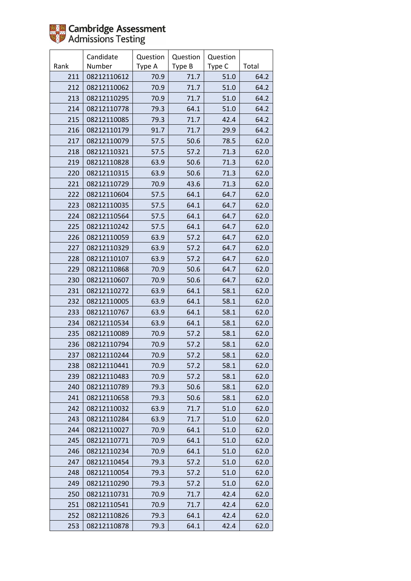

|      | Candidate   | Question | Question | Question |       |
|------|-------------|----------|----------|----------|-------|
| Rank | Number      | Type A   | Type B   | Type C   | Total |
| 211  | 08212110612 | 70.9     | 71.7     | 51.0     | 64.2  |
| 212  | 08212110062 | 70.9     | 71.7     | 51.0     | 64.2  |
| 213  | 08212110295 | 70.9     | 71.7     | 51.0     | 64.2  |
| 214  | 08212110778 | 79.3     | 64.1     | 51.0     | 64.2  |
| 215  | 08212110085 | 79.3     | 71.7     | 42.4     | 64.2  |
| 216  | 08212110179 | 91.7     | 71.7     | 29.9     | 64.2  |
| 217  | 08212110079 | 57.5     | 50.6     | 78.5     | 62.0  |
| 218  | 08212110321 | 57.5     | 57.2     | 71.3     | 62.0  |
| 219  | 08212110828 | 63.9     | 50.6     | 71.3     | 62.0  |
| 220  | 08212110315 | 63.9     | 50.6     | 71.3     | 62.0  |
| 221  | 08212110729 | 70.9     | 43.6     | 71.3     | 62.0  |
| 222  | 08212110604 | 57.5     | 64.1     | 64.7     | 62.0  |
| 223  | 08212110035 | 57.5     | 64.1     | 64.7     | 62.0  |
| 224  | 08212110564 | 57.5     | 64.1     | 64.7     | 62.0  |
| 225  | 08212110242 | 57.5     | 64.1     | 64.7     | 62.0  |
| 226  | 08212110059 | 63.9     | 57.2     | 64.7     | 62.0  |
| 227  | 08212110329 | 63.9     | 57.2     | 64.7     | 62.0  |
| 228  | 08212110107 | 63.9     | 57.2     | 64.7     | 62.0  |
| 229  | 08212110868 | 70.9     | 50.6     | 64.7     | 62.0  |
| 230  | 08212110607 | 70.9     | 50.6     | 64.7     | 62.0  |
| 231  | 08212110272 | 63.9     | 64.1     | 58.1     | 62.0  |
| 232  | 08212110005 | 63.9     | 64.1     | 58.1     | 62.0  |
| 233  | 08212110767 | 63.9     | 64.1     | 58.1     | 62.0  |
| 234  | 08212110534 | 63.9     | 64.1     | 58.1     | 62.0  |
| 235  | 08212110089 | 70.9     | 57.2     | 58.1     | 62.0  |
| 236  | 08212110794 | 70.9     | 57.2     | 58.1     | 62.0  |
| 237  | 08212110244 | 70.9     | 57.2     | 58.1     | 62.0  |
| 238  | 08212110441 | 70.9     | 57.2     | 58.1     | 62.0  |
| 239  | 08212110483 | 70.9     | 57.2     | 58.1     | 62.0  |
| 240  | 08212110789 | 79.3     | 50.6     | 58.1     | 62.0  |
| 241  | 08212110658 | 79.3     | 50.6     | 58.1     | 62.0  |
| 242  | 08212110032 | 63.9     | 71.7     | 51.0     | 62.0  |
| 243  | 08212110284 | 63.9     | 71.7     | 51.0     | 62.0  |
| 244  | 08212110027 | 70.9     | 64.1     | 51.0     | 62.0  |
| 245  | 08212110771 | 70.9     | 64.1     | 51.0     | 62.0  |
| 246  | 08212110234 | 70.9     | 64.1     | 51.0     | 62.0  |
| 247  | 08212110454 | 79.3     | 57.2     | 51.0     | 62.0  |
| 248  | 08212110054 | 79.3     | 57.2     | 51.0     | 62.0  |
| 249  | 08212110290 | 79.3     | 57.2     | 51.0     | 62.0  |
| 250  | 08212110731 | 70.9     | 71.7     | 42.4     | 62.0  |
| 251  | 08212110541 | 70.9     | 71.7     | 42.4     | 62.0  |
| 252  | 08212110826 | 79.3     | 64.1     | 42.4     | 62.0  |
| 253  | 08212110878 | 79.3     | 64.1     | 42.4     | 62.0  |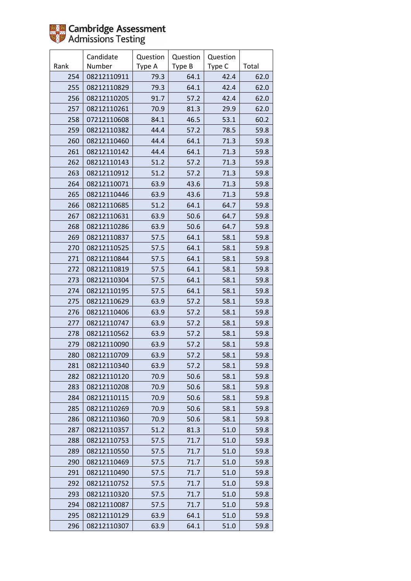

|      | Candidate   | Question | Question | Question |       |
|------|-------------|----------|----------|----------|-------|
| Rank | Number      | Type A   | Type B   | Type C   | Total |
| 254  | 08212110911 | 79.3     | 64.1     | 42.4     | 62.0  |
| 255  | 08212110829 | 79.3     | 64.1     | 42.4     | 62.0  |
| 256  | 08212110205 | 91.7     | 57.2     | 42.4     | 62.0  |
| 257  | 08212110261 | 70.9     | 81.3     | 29.9     | 62.0  |
| 258  | 07212110608 | 84.1     | 46.5     | 53.1     | 60.2  |
| 259  | 08212110382 | 44.4     | 57.2     | 78.5     | 59.8  |
| 260  | 08212110460 | 44.4     | 64.1     | 71.3     | 59.8  |
| 261  | 08212110142 | 44.4     | 64.1     | 71.3     | 59.8  |
| 262  | 08212110143 | 51.2     | 57.2     | 71.3     | 59.8  |
| 263  | 08212110912 | 51.2     | 57.2     | 71.3     | 59.8  |
| 264  | 08212110071 | 63.9     | 43.6     | 71.3     | 59.8  |
| 265  | 08212110446 | 63.9     | 43.6     | 71.3     | 59.8  |
| 266  | 08212110685 | 51.2     | 64.1     | 64.7     | 59.8  |
| 267  | 08212110631 | 63.9     | 50.6     | 64.7     | 59.8  |
| 268  | 08212110286 | 63.9     | 50.6     | 64.7     | 59.8  |
| 269  | 08212110837 | 57.5     | 64.1     | 58.1     | 59.8  |
| 270  | 08212110525 | 57.5     | 64.1     | 58.1     | 59.8  |
| 271  | 08212110844 | 57.5     | 64.1     | 58.1     | 59.8  |
| 272  | 08212110819 | 57.5     | 64.1     | 58.1     | 59.8  |
| 273  | 08212110304 | 57.5     | 64.1     | 58.1     | 59.8  |
| 274  | 08212110195 | 57.5     | 64.1     | 58.1     | 59.8  |
| 275  | 08212110629 | 63.9     | 57.2     | 58.1     | 59.8  |
| 276  | 08212110406 | 63.9     | 57.2     | 58.1     | 59.8  |
| 277  | 08212110747 | 63.9     | 57.2     | 58.1     | 59.8  |
| 278  | 08212110562 | 63.9     | 57.2     | 58.1     | 59.8  |
| 279  | 08212110090 | 63.9     | 57.2     | 58.1     | 59.8  |
| 280  | 08212110709 | 63.9     | 57.2     | 58.1     | 59.8  |
| 281  | 08212110340 | 63.9     | 57.2     | 58.1     | 59.8  |
| 282  | 08212110120 | 70.9     | 50.6     | 58.1     | 59.8  |
| 283  | 08212110208 | 70.9     | 50.6     | 58.1     | 59.8  |
| 284  | 08212110115 | 70.9     | 50.6     | 58.1     | 59.8  |
| 285  | 08212110269 | 70.9     | 50.6     | 58.1     | 59.8  |
| 286  | 08212110360 | 70.9     | 50.6     | 58.1     | 59.8  |
| 287  | 08212110357 | 51.2     | 81.3     | 51.0     | 59.8  |
| 288  | 08212110753 | 57.5     | 71.7     | 51.0     | 59.8  |
| 289  | 08212110550 | 57.5     | 71.7     | 51.0     | 59.8  |
| 290  | 08212110469 | 57.5     | 71.7     | 51.0     | 59.8  |
| 291  | 08212110490 | 57.5     | 71.7     | 51.0     | 59.8  |
| 292  | 08212110752 | 57.5     | 71.7     | 51.0     | 59.8  |
| 293  | 08212110320 | 57.5     | 71.7     | 51.0     | 59.8  |
| 294  | 08212110087 | 57.5     | 71.7     | 51.0     | 59.8  |
| 295  | 08212110129 | 63.9     | 64.1     | 51.0     | 59.8  |
| 296  | 08212110307 | 63.9     | 64.1     | 51.0     | 59.8  |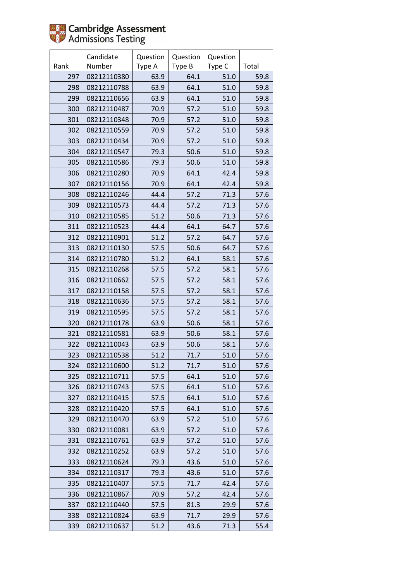|      | Candidate   | Question | Question | Question |       |
|------|-------------|----------|----------|----------|-------|
| Rank | Number      | Type A   | Type B   | Type C   | Total |
| 297  | 08212110380 | 63.9     | 64.1     | 51.0     | 59.8  |
| 298  | 08212110788 | 63.9     | 64.1     | 51.0     | 59.8  |
| 299  | 08212110656 | 63.9     | 64.1     | 51.0     | 59.8  |
| 300  | 08212110487 | 70.9     | 57.2     | 51.0     | 59.8  |
| 301  | 08212110348 | 70.9     | 57.2     | 51.0     | 59.8  |
| 302  | 08212110559 | 70.9     | 57.2     | 51.0     | 59.8  |
| 303  | 08212110434 | 70.9     | 57.2     | 51.0     | 59.8  |
| 304  | 08212110547 | 79.3     | 50.6     | 51.0     | 59.8  |
| 305  | 08212110586 | 79.3     | 50.6     | 51.0     | 59.8  |
| 306  | 08212110280 | 70.9     | 64.1     | 42.4     | 59.8  |
| 307  | 08212110156 | 70.9     | 64.1     | 42.4     | 59.8  |
| 308  | 08212110246 | 44.4     | 57.2     | 71.3     | 57.6  |
| 309  | 08212110573 | 44.4     | 57.2     | 71.3     | 57.6  |
| 310  | 08212110585 | 51.2     | 50.6     | 71.3     | 57.6  |
| 311  | 08212110523 | 44.4     | 64.1     | 64.7     | 57.6  |
| 312  | 08212110901 | 51.2     | 57.2     | 64.7     | 57.6  |
| 313  | 08212110130 | 57.5     | 50.6     | 64.7     | 57.6  |
| 314  | 08212110780 | 51.2     | 64.1     | 58.1     | 57.6  |
| 315  | 08212110268 | 57.5     | 57.2     | 58.1     | 57.6  |
| 316  | 08212110662 | 57.5     | 57.2     | 58.1     | 57.6  |
| 317  | 08212110158 | 57.5     | 57.2     | 58.1     | 57.6  |
| 318  | 08212110636 | 57.5     | 57.2     | 58.1     | 57.6  |
| 319  | 08212110595 | 57.5     | 57.2     | 58.1     | 57.6  |
| 320  | 08212110178 | 63.9     | 50.6     | 58.1     | 57.6  |
| 321  | 08212110581 | 63.9     | 50.6     | 58.1     | 57.6  |
| 322  | 08212110043 | 63.9     | 50.6     | 58.1     | 57.6  |
| 323  | 08212110538 | 51.2     | 71.7     | 51.0     | 57.6  |
| 324  | 08212110600 | 51.2     | 71.7     | 51.0     | 57.6  |
| 325  | 08212110711 | 57.5     | 64.1     | 51.0     | 57.6  |
| 326  | 08212110743 | 57.5     | 64.1     | 51.0     | 57.6  |
| 327  | 08212110415 | 57.5     | 64.1     | 51.0     | 57.6  |
| 328  | 08212110420 | 57.5     | 64.1     | 51.0     | 57.6  |
| 329  | 08212110470 | 63.9     | 57.2     | 51.0     | 57.6  |
| 330  | 08212110081 | 63.9     | 57.2     | 51.0     | 57.6  |
| 331  | 08212110761 | 63.9     | 57.2     | 51.0     | 57.6  |
| 332  | 08212110252 | 63.9     | 57.2     | 51.0     | 57.6  |
| 333  | 08212110624 | 79.3     | 43.6     | 51.0     | 57.6  |
| 334  | 08212110317 | 79.3     | 43.6     | 51.0     | 57.6  |
| 335  | 08212110407 | 57.5     | 71.7     | 42.4     | 57.6  |
| 336  | 08212110867 | 70.9     | 57.2     | 42.4     | 57.6  |
| 337  | 08212110440 | 57.5     | 81.3     | 29.9     | 57.6  |
| 338  | 08212110824 | 63.9     | 71.7     | 29.9     | 57.6  |
| 339  | 08212110637 | 51.2     | 43.6     | 71.3     | 55.4  |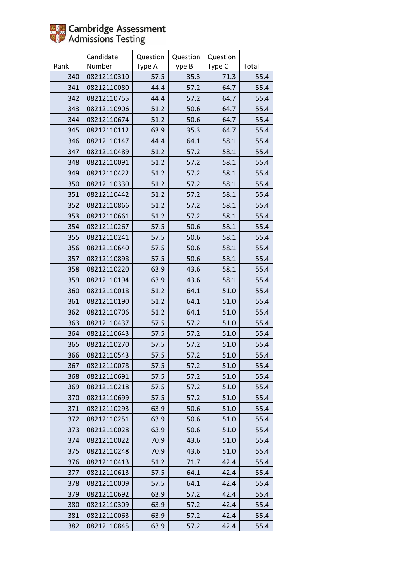

|      | Candidate   | Question | Question | Question |       |
|------|-------------|----------|----------|----------|-------|
| Rank | Number      | Type A   | Type B   | Type C   | Total |
| 340  | 08212110310 | 57.5     | 35.3     | 71.3     | 55.4  |
| 341  | 08212110080 | 44.4     | 57.2     | 64.7     | 55.4  |
| 342  | 08212110755 | 44.4     | 57.2     | 64.7     | 55.4  |
| 343  | 08212110906 | 51.2     | 50.6     | 64.7     | 55.4  |
| 344  | 08212110674 | 51.2     | 50.6     | 64.7     | 55.4  |
| 345  | 08212110112 | 63.9     | 35.3     | 64.7     | 55.4  |
| 346  | 08212110147 | 44.4     | 64.1     | 58.1     | 55.4  |
| 347  | 08212110489 | 51.2     | 57.2     | 58.1     | 55.4  |
| 348  | 08212110091 | 51.2     | 57.2     | 58.1     | 55.4  |
| 349  | 08212110422 | 51.2     | 57.2     | 58.1     | 55.4  |
| 350  | 08212110330 | 51.2     | 57.2     | 58.1     | 55.4  |
| 351  | 08212110442 | 51.2     | 57.2     | 58.1     | 55.4  |
| 352  | 08212110866 | 51.2     | 57.2     | 58.1     | 55.4  |
| 353  | 08212110661 | 51.2     | 57.2     | 58.1     | 55.4  |
| 354  | 08212110267 | 57.5     | 50.6     | 58.1     | 55.4  |
| 355  | 08212110241 | 57.5     | 50.6     | 58.1     | 55.4  |
| 356  | 08212110640 | 57.5     | 50.6     | 58.1     | 55.4  |
| 357  | 08212110898 | 57.5     | 50.6     | 58.1     | 55.4  |
| 358  | 08212110220 | 63.9     | 43.6     | 58.1     | 55.4  |
| 359  | 08212110194 | 63.9     | 43.6     | 58.1     | 55.4  |
| 360  | 08212110018 | 51.2     | 64.1     | 51.0     | 55.4  |
| 361  | 08212110190 | 51.2     | 64.1     | 51.0     | 55.4  |
| 362  | 08212110706 | 51.2     | 64.1     | 51.0     | 55.4  |
| 363  | 08212110437 | 57.5     | 57.2     | 51.0     | 55.4  |
| 364  | 08212110643 | 57.5     | 57.2     | 51.0     | 55.4  |
| 365  | 08212110270 | 57.5     | 57.2     | 51.0     | 55.4  |
| 366  | 08212110543 | 57.5     | 57.2     | 51.0     | 55.4  |
| 367  | 08212110078 | 57.5     | 57.2     | 51.0     | 55.4  |
| 368  | 08212110691 | 57.5     | 57.2     | 51.0     | 55.4  |
| 369  | 08212110218 | 57.5     | 57.2     | 51.0     | 55.4  |
| 370  | 08212110699 | 57.5     | 57.2     | 51.0     | 55.4  |
| 371  | 08212110293 | 63.9     | 50.6     | 51.0     | 55.4  |
| 372  | 08212110251 | 63.9     | 50.6     | 51.0     | 55.4  |
| 373  | 08212110028 | 63.9     | 50.6     | 51.0     | 55.4  |
| 374  | 08212110022 | 70.9     | 43.6     | 51.0     | 55.4  |
| 375  | 08212110248 | 70.9     | 43.6     | 51.0     | 55.4  |
| 376  | 08212110413 | 51.2     | 71.7     | 42.4     | 55.4  |
| 377  | 08212110613 | 57.5     | 64.1     | 42.4     | 55.4  |
| 378  | 08212110009 | 57.5     | 64.1     | 42.4     | 55.4  |
| 379  | 08212110692 | 63.9     | 57.2     | 42.4     | 55.4  |
| 380  | 08212110309 | 63.9     | 57.2     | 42.4     | 55.4  |
| 381  | 08212110063 | 63.9     | 57.2     | 42.4     | 55.4  |
| 382  | 08212110845 | 63.9     | 57.2     | 42.4     | 55.4  |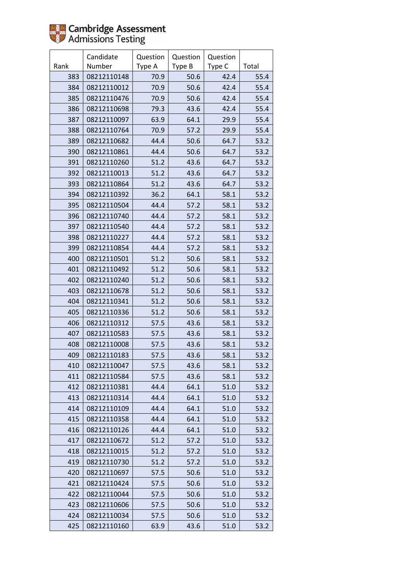|      | Candidate   | Question | Question | Question |       |
|------|-------------|----------|----------|----------|-------|
| Rank | Number      | Type A   | Type B   | Type C   | Total |
| 383  | 08212110148 | 70.9     | 50.6     | 42.4     | 55.4  |
| 384  | 08212110012 | 70.9     | 50.6     | 42.4     | 55.4  |
| 385  | 08212110476 | 70.9     | 50.6     | 42.4     | 55.4  |
| 386  | 08212110698 | 79.3     | 43.6     | 42.4     | 55.4  |
| 387  | 08212110097 | 63.9     | 64.1     | 29.9     | 55.4  |
| 388  | 08212110764 | 70.9     | 57.2     | 29.9     | 55.4  |
| 389  | 08212110682 | 44.4     | 50.6     | 64.7     | 53.2  |
| 390  | 08212110861 | 44.4     | 50.6     | 64.7     | 53.2  |
| 391  | 08212110260 | 51.2     | 43.6     | 64.7     | 53.2  |
| 392  | 08212110013 | 51.2     | 43.6     | 64.7     | 53.2  |
| 393  | 08212110864 | 51.2     | 43.6     | 64.7     | 53.2  |
| 394  | 08212110392 | 36.2     | 64.1     | 58.1     | 53.2  |
| 395  | 08212110504 | 44.4     | 57.2     | 58.1     | 53.2  |
| 396  | 08212110740 | 44.4     | 57.2     | 58.1     | 53.2  |
| 397  | 08212110540 | 44.4     | 57.2     | 58.1     | 53.2  |
| 398  | 08212110227 | 44.4     | 57.2     | 58.1     | 53.2  |
| 399  | 08212110854 | 44.4     | 57.2     | 58.1     | 53.2  |
| 400  | 08212110501 | 51.2     | 50.6     | 58.1     | 53.2  |
| 401  | 08212110492 | 51.2     | 50.6     | 58.1     | 53.2  |
| 402  | 08212110240 | 51.2     | 50.6     | 58.1     | 53.2  |
| 403  | 08212110678 | 51.2     | 50.6     | 58.1     | 53.2  |
| 404  | 08212110341 | 51.2     | 50.6     | 58.1     | 53.2  |
| 405  | 08212110336 | 51.2     | 50.6     | 58.1     | 53.2  |
| 406  | 08212110312 | 57.5     | 43.6     | 58.1     | 53.2  |
| 407  | 08212110583 | 57.5     | 43.6     | 58.1     | 53.2  |
| 408  | 08212110008 | 57.5     | 43.6     | 58.1     | 53.2  |
| 409  | 08212110183 | 57.5     | 43.6     | 58.1     | 53.2  |
| 410  | 08212110047 | 57.5     | 43.6     | 58.1     | 53.2  |
| 411  | 08212110584 | 57.5     | 43.6     | 58.1     | 53.2  |
| 412  | 08212110381 | 44.4     | 64.1     | 51.0     | 53.2  |
| 413  | 08212110314 | 44.4     | 64.1     | 51.0     | 53.2  |
| 414  | 08212110109 | 44.4     | 64.1     | 51.0     | 53.2  |
| 415  | 08212110358 | 44.4     | 64.1     | 51.0     | 53.2  |
| 416  | 08212110126 | 44.4     | 64.1     | 51.0     | 53.2  |
| 417  | 08212110672 | 51.2     | 57.2     | 51.0     | 53.2  |
| 418  | 08212110015 | 51.2     | 57.2     | 51.0     | 53.2  |
| 419  | 08212110730 | 51.2     | 57.2     | 51.0     | 53.2  |
| 420  | 08212110697 | 57.5     | 50.6     | 51.0     | 53.2  |
| 421  | 08212110424 | 57.5     | 50.6     | 51.0     | 53.2  |
| 422  | 08212110044 | 57.5     | 50.6     | 51.0     | 53.2  |
| 423  | 08212110606 | 57.5     | 50.6     | 51.0     | 53.2  |
| 424  | 08212110034 | 57.5     | 50.6     | 51.0     | 53.2  |
| 425  | 08212110160 | 63.9     | 43.6     | 51.0     | 53.2  |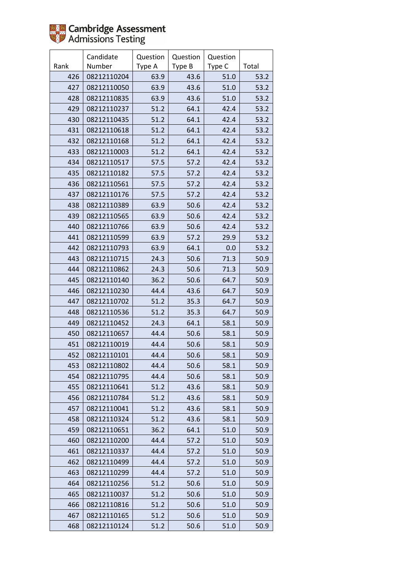

|      | Candidate   | Question | Question | Question |       |
|------|-------------|----------|----------|----------|-------|
| Rank | Number      | Type A   | Type B   | Type C   | Total |
| 426  | 08212110204 | 63.9     | 43.6     | 51.0     | 53.2  |
| 427  | 08212110050 | 63.9     | 43.6     | 51.0     | 53.2  |
| 428  | 08212110835 | 63.9     | 43.6     | 51.0     | 53.2  |
| 429  | 08212110237 | 51.2     | 64.1     | 42.4     | 53.2  |
| 430  | 08212110435 | 51.2     | 64.1     | 42.4     | 53.2  |
| 431  | 08212110618 | 51.2     | 64.1     | 42.4     | 53.2  |
| 432  | 08212110168 | 51.2     | 64.1     | 42.4     | 53.2  |
| 433  | 08212110003 | 51.2     | 64.1     | 42.4     | 53.2  |
| 434  | 08212110517 | 57.5     | 57.2     | 42.4     | 53.2  |
| 435  | 08212110182 | 57.5     | 57.2     | 42.4     | 53.2  |
| 436  | 08212110561 | 57.5     | 57.2     | 42.4     | 53.2  |
| 437  | 08212110176 | 57.5     | 57.2     | 42.4     | 53.2  |
| 438  | 08212110389 | 63.9     | 50.6     | 42.4     | 53.2  |
| 439  | 08212110565 | 63.9     | 50.6     | 42.4     | 53.2  |
| 440  | 08212110766 | 63.9     | 50.6     | 42.4     | 53.2  |
| 441  | 08212110599 | 63.9     | 57.2     | 29.9     | 53.2  |
| 442  | 08212110793 | 63.9     | 64.1     | 0.0      | 53.2  |
| 443  | 08212110715 | 24.3     | 50.6     | 71.3     | 50.9  |
| 444  | 08212110862 | 24.3     | 50.6     | 71.3     | 50.9  |
| 445  | 08212110140 | 36.2     | 50.6     | 64.7     | 50.9  |
| 446  | 08212110230 | 44.4     | 43.6     | 64.7     | 50.9  |
| 447  | 08212110702 | 51.2     | 35.3     | 64.7     | 50.9  |
| 448  | 08212110536 | 51.2     | 35.3     | 64.7     | 50.9  |
| 449  | 08212110452 | 24.3     | 64.1     | 58.1     | 50.9  |
| 450  | 08212110657 | 44.4     | 50.6     | 58.1     | 50.9  |
| 451  | 08212110019 | 44.4     | 50.6     | 58.1     | 50.9  |
| 452  | 08212110101 | 44.4     | 50.6     | 58.1     | 50.9  |
| 453  | 08212110802 | 44.4     | 50.6     | 58.1     | 50.9  |
| 454  | 08212110795 | 44.4     | 50.6     | 58.1     | 50.9  |
| 455  | 08212110641 | 51.2     | 43.6     | 58.1     | 50.9  |
| 456  | 08212110784 | 51.2     | 43.6     | 58.1     | 50.9  |
| 457  | 08212110041 | 51.2     | 43.6     | 58.1     | 50.9  |
| 458  | 08212110324 | 51.2     | 43.6     | 58.1     | 50.9  |
| 459  | 08212110651 | 36.2     | 64.1     | 51.0     | 50.9  |
| 460  | 08212110200 | 44.4     | 57.2     | 51.0     | 50.9  |
| 461  | 08212110337 | 44.4     | 57.2     | 51.0     | 50.9  |
| 462  | 08212110499 | 44.4     | 57.2     | 51.0     | 50.9  |
| 463  | 08212110299 | 44.4     | 57.2     | 51.0     | 50.9  |
| 464  | 08212110256 | 51.2     | 50.6     | 51.0     | 50.9  |
| 465  | 08212110037 | 51.2     | 50.6     | 51.0     | 50.9  |
| 466  | 08212110816 | 51.2     | 50.6     | 51.0     | 50.9  |
| 467  | 08212110165 | 51.2     | 50.6     | 51.0     | 50.9  |
| 468  | 08212110124 | 51.2     | 50.6     | 51.0     | 50.9  |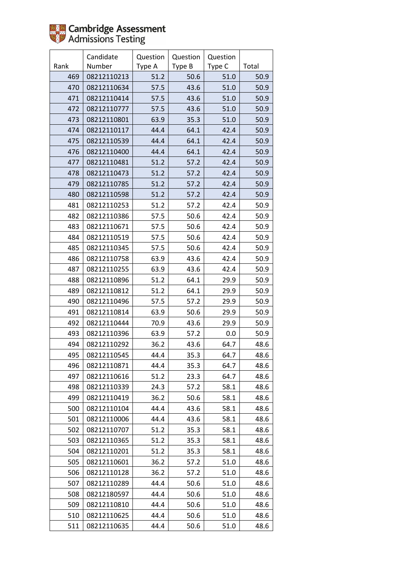

|      | Candidate   | Question | Question | Question |       |
|------|-------------|----------|----------|----------|-------|
| Rank | Number      | Type A   | Type B   | Type C   | Total |
| 469  | 08212110213 | 51.2     | 50.6     | 51.0     | 50.9  |
| 470  | 08212110634 | 57.5     | 43.6     | 51.0     | 50.9  |
| 471  | 08212110414 | 57.5     | 43.6     | 51.0     | 50.9  |
| 472  | 08212110777 | 57.5     | 43.6     | 51.0     | 50.9  |
| 473  | 08212110801 | 63.9     | 35.3     | 51.0     | 50.9  |
| 474  | 08212110117 | 44.4     | 64.1     | 42.4     | 50.9  |
| 475  | 08212110539 | 44.4     | 64.1     | 42.4     | 50.9  |
| 476  | 08212110400 | 44.4     | 64.1     | 42.4     | 50.9  |
| 477  | 08212110481 | 51.2     | 57.2     | 42.4     | 50.9  |
| 478  | 08212110473 | 51.2     | 57.2     | 42.4     | 50.9  |
| 479  | 08212110785 | 51.2     | 57.2     | 42.4     | 50.9  |
| 480  | 08212110598 | 51.2     | 57.2     | 42.4     | 50.9  |
| 481  | 08212110253 | 51.2     | 57.2     | 42.4     | 50.9  |
| 482  | 08212110386 | 57.5     | 50.6     | 42.4     | 50.9  |
| 483  | 08212110671 | 57.5     | 50.6     | 42.4     | 50.9  |
| 484  | 08212110519 | 57.5     | 50.6     | 42.4     | 50.9  |
| 485  | 08212110345 | 57.5     | 50.6     | 42.4     | 50.9  |
| 486  | 08212110758 | 63.9     | 43.6     | 42.4     | 50.9  |
| 487  | 08212110255 | 63.9     | 43.6     | 42.4     | 50.9  |
| 488  | 08212110896 | 51.2     | 64.1     | 29.9     | 50.9  |
| 489  | 08212110812 | 51.2     | 64.1     | 29.9     | 50.9  |
| 490  | 08212110496 | 57.5     | 57.2     | 29.9     | 50.9  |
| 491  | 08212110814 | 63.9     | 50.6     | 29.9     | 50.9  |
| 492  | 08212110444 | 70.9     | 43.6     | 29.9     | 50.9  |
| 493  | 08212110396 | 63.9     | 57.2     | 0.0      | 50.9  |
| 494  | 08212110292 | 36.2     | 43.6     | 64.7     | 48.6  |
| 495  | 08212110545 | 44.4     | 35.3     | 64.7     | 48.6  |
| 496  | 08212110871 | 44.4     | 35.3     | 64.7     | 48.6  |
| 497  | 08212110616 | 51.2     | 23.3     | 64.7     | 48.6  |
| 498  | 08212110339 | 24.3     | 57.2     | 58.1     | 48.6  |
| 499  | 08212110419 | 36.2     | 50.6     | 58.1     | 48.6  |
| 500  | 08212110104 | 44.4     | 43.6     | 58.1     | 48.6  |
| 501  | 08212110006 | 44.4     | 43.6     | 58.1     | 48.6  |
| 502  | 08212110707 | 51.2     | 35.3     | 58.1     | 48.6  |
| 503  | 08212110365 | 51.2     | 35.3     | 58.1     | 48.6  |
| 504  | 08212110201 | 51.2     | 35.3     | 58.1     | 48.6  |
| 505  | 08212110601 | 36.2     | 57.2     | 51.0     | 48.6  |
| 506  | 08212110128 | 36.2     | 57.2     | 51.0     | 48.6  |
| 507  | 08212110289 | 44.4     | 50.6     | 51.0     | 48.6  |
| 508  | 08212180597 | 44.4     | 50.6     | 51.0     | 48.6  |
| 509  | 08212110810 | 44.4     | 50.6     | 51.0     | 48.6  |
| 510  | 08212110625 | 44.4     | 50.6     | 51.0     | 48.6  |
| 511  | 08212110635 | 44.4     | 50.6     | 51.0     | 48.6  |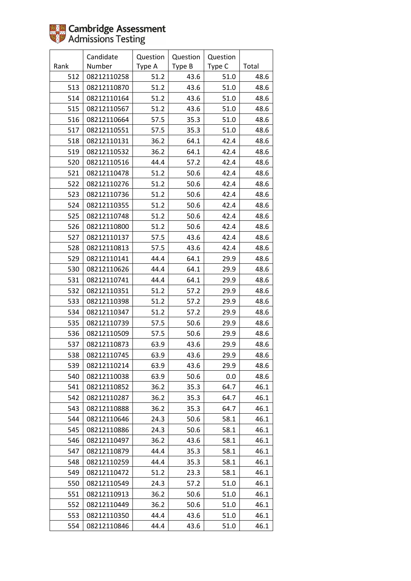|      | Candidate   | Question | Question | Question |       |
|------|-------------|----------|----------|----------|-------|
| Rank | Number      | Type A   | Type B   | Type C   | Total |
| 512  | 08212110258 | 51.2     | 43.6     | 51.0     | 48.6  |
| 513  | 08212110870 | 51.2     | 43.6     | 51.0     | 48.6  |
| 514  | 08212110164 | 51.2     | 43.6     | 51.0     | 48.6  |
| 515  | 08212110567 | 51.2     | 43.6     | 51.0     | 48.6  |
| 516  | 08212110664 | 57.5     | 35.3     | 51.0     | 48.6  |
| 517  | 08212110551 | 57.5     | 35.3     | 51.0     | 48.6  |
| 518  | 08212110131 | 36.2     | 64.1     | 42.4     | 48.6  |
| 519  | 08212110532 | 36.2     | 64.1     | 42.4     | 48.6  |
| 520  | 08212110516 | 44.4     | 57.2     | 42.4     | 48.6  |
| 521  | 08212110478 | 51.2     | 50.6     | 42.4     | 48.6  |
| 522  | 08212110276 | 51.2     | 50.6     | 42.4     | 48.6  |
| 523  | 08212110736 | 51.2     | 50.6     | 42.4     | 48.6  |
| 524  | 08212110355 | 51.2     | 50.6     | 42.4     | 48.6  |
| 525  | 08212110748 | 51.2     | 50.6     | 42.4     | 48.6  |
| 526  | 08212110800 | 51.2     | 50.6     | 42.4     | 48.6  |
| 527  | 08212110137 | 57.5     | 43.6     | 42.4     | 48.6  |
| 528  | 08212110813 | 57.5     | 43.6     | 42.4     | 48.6  |
| 529  | 08212110141 | 44.4     | 64.1     | 29.9     | 48.6  |
| 530  | 08212110626 | 44.4     | 64.1     | 29.9     | 48.6  |
| 531  | 08212110741 | 44.4     | 64.1     | 29.9     | 48.6  |
| 532  | 08212110351 | 51.2     | 57.2     | 29.9     | 48.6  |
| 533  | 08212110398 | 51.2     | 57.2     | 29.9     | 48.6  |
| 534  | 08212110347 | 51.2     | 57.2     | 29.9     | 48.6  |
| 535  | 08212110739 | 57.5     | 50.6     | 29.9     | 48.6  |
| 536  | 08212110509 | 57.5     | 50.6     | 29.9     | 48.6  |
| 537  | 08212110873 | 63.9     | 43.6     | 29.9     | 48.6  |
| 538  | 08212110745 | 63.9     | 43.6     | 29.9     | 48.6  |
| 539  | 08212110214 | 63.9     | 43.6     | 29.9     | 48.6  |
| 540  | 08212110038 | 63.9     | 50.6     | 0.0      | 48.6  |
| 541  | 08212110852 | 36.2     | 35.3     | 64.7     | 46.1  |
| 542  | 08212110287 | 36.2     | 35.3     | 64.7     | 46.1  |
| 543  | 08212110888 | 36.2     | 35.3     | 64.7     | 46.1  |
| 544  | 08212110646 | 24.3     | 50.6     | 58.1     | 46.1  |
| 545  | 08212110886 | 24.3     | 50.6     | 58.1     | 46.1  |
| 546  | 08212110497 | 36.2     | 43.6     | 58.1     | 46.1  |
| 547  | 08212110879 | 44.4     | 35.3     | 58.1     | 46.1  |
| 548  | 08212110259 | 44.4     | 35.3     | 58.1     | 46.1  |
| 549  | 08212110472 | 51.2     | 23.3     | 58.1     | 46.1  |
| 550  | 08212110549 | 24.3     | 57.2     | 51.0     | 46.1  |
| 551  | 08212110913 | 36.2     | 50.6     | 51.0     | 46.1  |
| 552  | 08212110449 | 36.2     | 50.6     | 51.0     | 46.1  |
| 553  | 08212110350 | 44.4     | 43.6     | 51.0     | 46.1  |
| 554  | 08212110846 | 44.4     | 43.6     | 51.0     | 46.1  |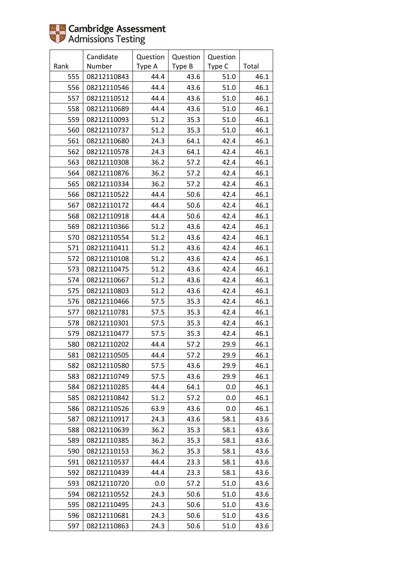|      | Candidate   | Question | Question | Question |       |
|------|-------------|----------|----------|----------|-------|
| Rank | Number      | Type A   | Type B   | Type C   | Total |
| 555  | 08212110843 | 44.4     | 43.6     | 51.0     | 46.1  |
| 556  | 08212110546 | 44.4     | 43.6     | $51.0\,$ | 46.1  |
| 557  | 08212110512 | 44.4     | 43.6     | 51.0     | 46.1  |
| 558  | 08212110689 | 44.4     | 43.6     | 51.0     | 46.1  |
| 559  | 08212110093 | 51.2     | 35.3     | 51.0     | 46.1  |
| 560  | 08212110737 | 51.2     | 35.3     | 51.0     | 46.1  |
| 561  | 08212110680 | 24.3     | 64.1     | 42.4     | 46.1  |
| 562  | 08212110578 | 24.3     | 64.1     | 42.4     | 46.1  |
| 563  | 08212110308 | 36.2     | 57.2     | 42.4     | 46.1  |
| 564  | 08212110876 | 36.2     | 57.2     | 42.4     | 46.1  |
| 565  | 08212110334 | 36.2     | 57.2     | 42.4     | 46.1  |
| 566  | 08212110522 | 44.4     | 50.6     | 42.4     | 46.1  |
| 567  | 08212110172 | 44.4     | 50.6     | 42.4     | 46.1  |
| 568  | 08212110918 | 44.4     | 50.6     | 42.4     | 46.1  |
| 569  | 08212110366 | 51.2     | 43.6     | 42.4     | 46.1  |
| 570  | 08212110554 | 51.2     | 43.6     | 42.4     | 46.1  |
| 571  | 08212110411 | 51.2     | 43.6     | 42.4     | 46.1  |
| 572  | 08212110108 | 51.2     | 43.6     | 42.4     | 46.1  |
| 573  | 08212110475 | 51.2     | 43.6     | 42.4     | 46.1  |
| 574  | 08212110667 | 51.2     | 43.6     | 42.4     | 46.1  |
| 575  | 08212110803 | 51.2     | 43.6     | 42.4     | 46.1  |
| 576  | 08212110466 | 57.5     | 35.3     | 42.4     | 46.1  |
| 577  | 08212110781 | 57.5     | 35.3     | 42.4     | 46.1  |
| 578  | 08212110301 | 57.5     | 35.3     | 42.4     | 46.1  |
| 579  | 08212110477 | 57.5     | 35.3     | 42.4     | 46.1  |
| 580  | 08212110202 | 44.4     | 57.2     | 29.9     | 46.1  |
| 581  | 08212110505 | 44.4     | 57.2     | 29.9     | 46.1  |
| 582  | 08212110580 | 57.5     | 43.6     | 29.9     | 46.1  |
| 583  | 08212110749 | 57.5     | 43.6     | 29.9     | 46.1  |
| 584  | 08212110285 | 44.4     | 64.1     | 0.0      | 46.1  |
| 585  | 08212110842 | 51.2     | 57.2     | 0.0      | 46.1  |
| 586  | 08212110526 | 63.9     | 43.6     | 0.0      | 46.1  |
| 587  | 08212110917 | 24.3     | 43.6     | 58.1     | 43.6  |
| 588  | 08212110639 | 36.2     | 35.3     | 58.1     | 43.6  |
| 589  | 08212110385 | 36.2     | 35.3     | 58.1     | 43.6  |
| 590  | 08212110153 | 36.2     | 35.3     | 58.1     | 43.6  |
| 591  | 08212110537 | 44.4     | 23.3     | 58.1     | 43.6  |
| 592  | 08212110439 | 44.4     | 23.3     | 58.1     | 43.6  |
| 593  | 08212110720 | 0.0      | 57.2     | 51.0     | 43.6  |
| 594  | 08212110552 | 24.3     | 50.6     | 51.0     | 43.6  |
| 595  | 08212110495 | 24.3     | 50.6     | 51.0     | 43.6  |
| 596  | 08212110681 | 24.3     | 50.6     | 51.0     | 43.6  |
| 597  | 08212110863 | 24.3     | 50.6     | 51.0     | 43.6  |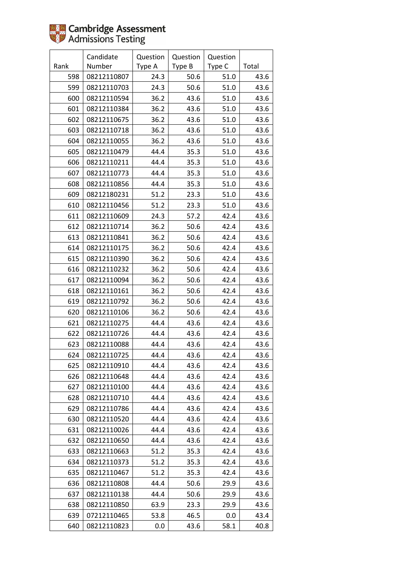|      | Candidate   | Question | Question | Question |       |
|------|-------------|----------|----------|----------|-------|
| Rank | Number      | Type A   | Type B   | Type C   | Total |
| 598  | 08212110807 | 24.3     | 50.6     | 51.0     | 43.6  |
| 599  | 08212110703 | 24.3     | 50.6     | 51.0     | 43.6  |
| 600  | 08212110594 | 36.2     | 43.6     | 51.0     | 43.6  |
| 601  | 08212110384 | 36.2     | 43.6     | 51.0     | 43.6  |
| 602  | 08212110675 | 36.2     | 43.6     | 51.0     | 43.6  |
| 603  | 08212110718 | 36.2     | 43.6     | 51.0     | 43.6  |
| 604  | 08212110055 | 36.2     | 43.6     | 51.0     | 43.6  |
| 605  | 08212110479 | 44.4     | 35.3     | 51.0     | 43.6  |
| 606  | 08212110211 | 44.4     | 35.3     | 51.0     | 43.6  |
| 607  | 08212110773 | 44.4     | 35.3     | 51.0     | 43.6  |
| 608  | 08212110856 | 44.4     | 35.3     | 51.0     | 43.6  |
| 609  | 08212180231 | 51.2     | 23.3     | $51.0\,$ | 43.6  |
| 610  | 08212110456 | 51.2     | 23.3     | 51.0     | 43.6  |
| 611  | 08212110609 | 24.3     | 57.2     | 42.4     | 43.6  |
| 612  | 08212110714 | 36.2     | 50.6     | 42.4     | 43.6  |
| 613  | 08212110841 | 36.2     | 50.6     | 42.4     | 43.6  |
| 614  | 08212110175 | 36.2     | 50.6     | 42.4     | 43.6  |
| 615  | 08212110390 | 36.2     | 50.6     | 42.4     | 43.6  |
| 616  | 08212110232 | 36.2     | 50.6     | 42.4     | 43.6  |
| 617  | 08212110094 | 36.2     | 50.6     | 42.4     | 43.6  |
| 618  | 08212110161 | 36.2     | 50.6     | 42.4     | 43.6  |
| 619  | 08212110792 | 36.2     | 50.6     | 42.4     | 43.6  |
| 620  | 08212110106 | 36.2     | 50.6     | 42.4     | 43.6  |
| 621  | 08212110275 | 44.4     | 43.6     | 42.4     | 43.6  |
| 622  | 08212110726 | 44.4     | 43.6     | 42.4     | 43.6  |
| 623  | 08212110088 | 44.4     | 43.6     | 42.4     | 43.6  |
| 624  | 08212110725 | 44.4     | 43.6     | 42.4     | 43.6  |
| 625  | 08212110910 | 44.4     | 43.6     | 42.4     | 43.6  |
| 626  | 08212110648 | 44.4     | 43.6     | 42.4     | 43.6  |
| 627  | 08212110100 | 44.4     | 43.6     | 42.4     | 43.6  |
| 628  | 08212110710 | 44.4     | 43.6     | 42.4     | 43.6  |
| 629  | 08212110786 | 44.4     | 43.6     | 42.4     | 43.6  |
| 630  | 08212110520 | 44.4     | 43.6     | 42.4     | 43.6  |
| 631  | 08212110026 | 44.4     | 43.6     | 42.4     | 43.6  |
| 632  | 08212110650 | 44.4     | 43.6     | 42.4     | 43.6  |
| 633  | 08212110663 | 51.2     | 35.3     | 42.4     | 43.6  |
| 634  | 08212110373 | 51.2     | 35.3     | 42.4     | 43.6  |
| 635  | 08212110467 | 51.2     | 35.3     | 42.4     | 43.6  |
| 636  | 08212110808 | 44.4     | 50.6     | 29.9     | 43.6  |
| 637  | 08212110138 | 44.4     | 50.6     | 29.9     | 43.6  |
| 638  | 08212110850 | 63.9     | 23.3     | 29.9     | 43.6  |
| 639  | 07212110465 | 53.8     | 46.5     | 0.0      | 43.4  |
| 640  | 08212110823 | 0.0      | 43.6     | 58.1     | 40.8  |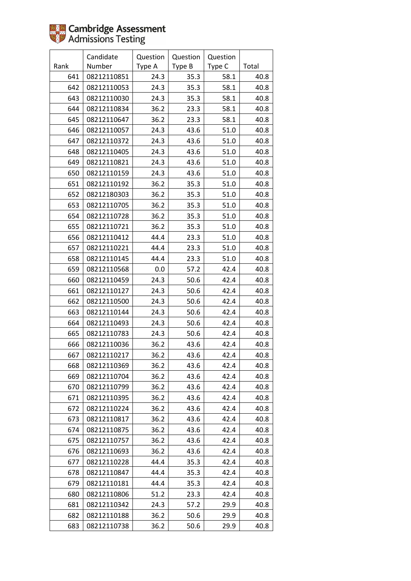|      | Candidate   | Question | Question | Question |       |
|------|-------------|----------|----------|----------|-------|
| Rank | Number      | Type A   | Type B   | Type C   | Total |
| 641  | 08212110851 | 24.3     | 35.3     | 58.1     | 40.8  |
| 642  | 08212110053 | 24.3     | 35.3     | 58.1     | 40.8  |
| 643  | 08212110030 | 24.3     | 35.3     | 58.1     | 40.8  |
| 644  | 08212110834 | 36.2     | 23.3     | 58.1     | 40.8  |
| 645  | 08212110647 | 36.2     | 23.3     | 58.1     | 40.8  |
| 646  | 08212110057 | 24.3     | 43.6     | 51.0     | 40.8  |
| 647  | 08212110372 | 24.3     | 43.6     | $51.0\,$ | 40.8  |
| 648  | 08212110405 | 24.3     | 43.6     | 51.0     | 40.8  |
| 649  | 08212110821 | 24.3     | 43.6     | 51.0     | 40.8  |
| 650  | 08212110159 | 24.3     | 43.6     | 51.0     | 40.8  |
| 651  | 08212110192 | 36.2     | 35.3     | 51.0     | 40.8  |
| 652  | 08212180303 | 36.2     | 35.3     | $51.0$   | 40.8  |
| 653  | 08212110705 | 36.2     | 35.3     | 51.0     | 40.8  |
| 654  | 08212110728 | 36.2     | 35.3     | 51.0     | 40.8  |
| 655  | 08212110721 | 36.2     | 35.3     | 51.0     | 40.8  |
| 656  | 08212110412 | 44.4     | 23.3     | 51.0     | 40.8  |
| 657  | 08212110221 | 44.4     | 23.3     | 51.0     | 40.8  |
| 658  | 08212110145 | 44.4     | 23.3     | 51.0     | 40.8  |
| 659  | 08212110568 | 0.0      | 57.2     | 42.4     | 40.8  |
| 660  | 08212110459 | 24.3     | 50.6     | 42.4     | 40.8  |
| 661  | 08212110127 | 24.3     | 50.6     | 42.4     | 40.8  |
| 662  | 08212110500 | 24.3     | 50.6     | 42.4     | 40.8  |
| 663  | 08212110144 | 24.3     | 50.6     | 42.4     | 40.8  |
| 664  | 08212110493 | 24.3     | 50.6     | 42.4     | 40.8  |
| 665  | 08212110783 | 24.3     | 50.6     | 42.4     | 40.8  |
| 666  | 08212110036 | 36.2     | 43.6     | 42.4     | 40.8  |
| 667  | 08212110217 | 36.2     | 43.6     | 42.4     | 40.8  |
| 668  | 08212110369 | 36.2     | 43.6     | 42.4     | 40.8  |
| 669  | 08212110704 | 36.2     | 43.6     | 42.4     | 40.8  |
| 670  | 08212110799 | 36.2     | 43.6     | 42.4     | 40.8  |
| 671  | 08212110395 | 36.2     | 43.6     | 42.4     | 40.8  |
| 672  | 08212110224 | 36.2     | 43.6     | 42.4     | 40.8  |
| 673  | 08212110817 | 36.2     | 43.6     | 42.4     | 40.8  |
| 674  | 08212110875 | 36.2     | 43.6     | 42.4     | 40.8  |
| 675  | 08212110757 | 36.2     | 43.6     | 42.4     | 40.8  |
| 676  | 08212110693 | 36.2     | 43.6     | 42.4     | 40.8  |
| 677  | 08212110228 | 44.4     | 35.3     | 42.4     | 40.8  |
| 678  | 08212110847 | 44.4     | 35.3     | 42.4     | 40.8  |
| 679  | 08212110181 | 44.4     | 35.3     | 42.4     | 40.8  |
| 680  | 08212110806 | 51.2     | 23.3     | 42.4     | 40.8  |
| 681  | 08212110342 | 24.3     | 57.2     | 29.9     | 40.8  |
| 682  | 08212110188 | 36.2     | 50.6     | 29.9     | 40.8  |
| 683  | 08212110738 | 36.2     | 50.6     | 29.9     | 40.8  |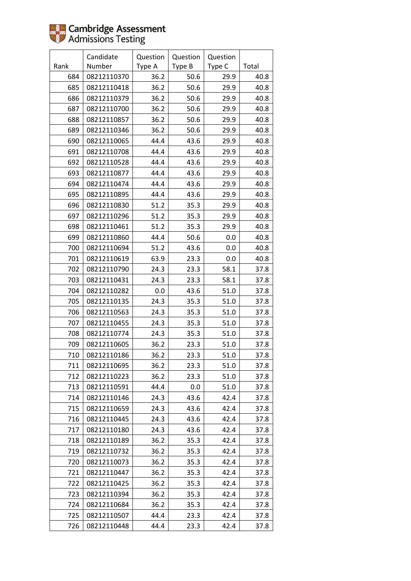|      | Candidate   | Question | Question | Question |       |
|------|-------------|----------|----------|----------|-------|
| Rank | Number      | Type A   | Type B   | Type C   | Total |
| 684  | 08212110370 | 36.2     | 50.6     | 29.9     | 40.8  |
| 685  | 08212110418 | 36.2     | 50.6     | 29.9     | 40.8  |
| 686  | 08212110379 | 36.2     | 50.6     | 29.9     | 40.8  |
| 687  | 08212110700 | 36.2     | 50.6     | 29.9     | 40.8  |
| 688  | 08212110857 | 36.2     | 50.6     | 29.9     | 40.8  |
| 689  | 08212110346 | 36.2     | 50.6     | 29.9     | 40.8  |
| 690  | 08212110065 | 44.4     | 43.6     | 29.9     | 40.8  |
| 691  | 08212110708 | 44.4     | 43.6     | 29.9     | 40.8  |
| 692  | 08212110528 | 44.4     | 43.6     | 29.9     | 40.8  |
| 693  | 08212110877 | 44.4     | 43.6     | 29.9     | 40.8  |
| 694  | 08212110474 | 44.4     | 43.6     | 29.9     | 40.8  |
| 695  | 08212110895 | 44.4     | 43.6     | 29.9     | 40.8  |
| 696  | 08212110830 | 51.2     | 35.3     | 29.9     | 40.8  |
| 697  | 08212110296 | 51.2     | 35.3     | 29.9     | 40.8  |
| 698  | 08212110461 | 51.2     | 35.3     | 29.9     | 40.8  |
| 699  | 08212110860 | 44.4     | 50.6     | 0.0      | 40.8  |
| 700  | 08212110694 | 51.2     | 43.6     | 0.0      | 40.8  |
| 701  | 08212110619 | 63.9     | 23.3     | 0.0      | 40.8  |
| 702  | 08212110790 | 24.3     | 23.3     | 58.1     | 37.8  |
| 703  | 08212110431 | 24.3     | 23.3     | 58.1     | 37.8  |
| 704  | 08212110282 | 0.0      | 43.6     | 51.0     | 37.8  |
| 705  | 08212110135 | 24.3     | 35.3     | 51.0     | 37.8  |
| 706  | 08212110563 | 24.3     | 35.3     | 51.0     | 37.8  |
| 707  | 08212110455 | 24.3     | 35.3     | 51.0     | 37.8  |
| 708  | 08212110774 | 24.3     | 35.3     | 51.0     | 37.8  |
| 709  | 08212110605 | 36.2     | 23.3     | 51.0     | 37.8  |
| 710  | 08212110186 | 36.2     | 23.3     | 51.0     | 37.8  |
| 711  | 08212110695 | 36.2     | 23.3     | 51.0     | 37.8  |
| 712  | 08212110223 | 36.2     | 23.3     | 51.0     | 37.8  |
| 713  | 08212110591 | 44.4     | 0.0      | 51.0     | 37.8  |
| 714  | 08212110146 | 24.3     | 43.6     | 42.4     | 37.8  |
| 715  | 08212110659 | 24.3     | 43.6     | 42.4     | 37.8  |
| 716  | 08212110445 | 24.3     | 43.6     | 42.4     | 37.8  |
| 717  | 08212110180 | 24.3     | 43.6     | 42.4     | 37.8  |
| 718  | 08212110189 | 36.2     | 35.3     | 42.4     | 37.8  |
| 719  | 08212110732 | 36.2     | 35.3     | 42.4     | 37.8  |
| 720  | 08212110073 | 36.2     | 35.3     | 42.4     | 37.8  |
| 721  | 08212110447 | 36.2     | 35.3     | 42.4     | 37.8  |
| 722  | 08212110425 | 36.2     | 35.3     | 42.4     | 37.8  |
| 723  | 08212110394 | 36.2     | 35.3     | 42.4     | 37.8  |
| 724  | 08212110684 | 36.2     | 35.3     | 42.4     | 37.8  |
| 725  | 08212110507 | 44.4     | 23.3     | 42.4     | 37.8  |
| 726  | 08212110448 | 44.4     | 23.3     | 42.4     | 37.8  |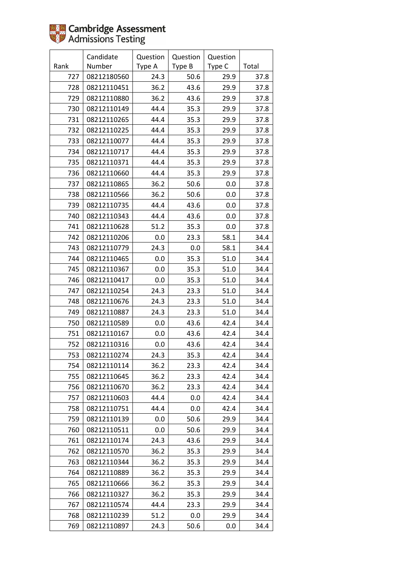|      | Candidate   | Question | Question | Question |       |
|------|-------------|----------|----------|----------|-------|
| Rank | Number      | Type A   | Type B   | Type C   | Total |
| 727  | 08212180560 | 24.3     | 50.6     | 29.9     | 37.8  |
| 728  | 08212110451 | 36.2     | 43.6     | 29.9     | 37.8  |
| 729  | 08212110880 | 36.2     | 43.6     | 29.9     | 37.8  |
| 730  | 08212110149 | 44.4     | 35.3     | 29.9     | 37.8  |
| 731  | 08212110265 | 44.4     | 35.3     | 29.9     | 37.8  |
| 732  | 08212110225 | 44.4     | 35.3     | 29.9     | 37.8  |
| 733  | 08212110077 | 44.4     | 35.3     | 29.9     | 37.8  |
| 734  | 08212110717 | 44.4     | 35.3     | 29.9     | 37.8  |
| 735  | 08212110371 | 44.4     | 35.3     | 29.9     | 37.8  |
| 736  | 08212110660 | 44.4     | 35.3     | 29.9     | 37.8  |
| 737  | 08212110865 | 36.2     | 50.6     | 0.0      | 37.8  |
| 738  | 08212110566 | 36.2     | 50.6     | 0.0      | 37.8  |
| 739  | 08212110735 | 44.4     | 43.6     | 0.0      | 37.8  |
| 740  | 08212110343 | 44.4     | 43.6     | 0.0      | 37.8  |
| 741  | 08212110628 | 51.2     | 35.3     | 0.0      | 37.8  |
| 742  | 08212110206 | 0.0      | 23.3     | 58.1     | 34.4  |
| 743  | 08212110779 | 24.3     | 0.0      | 58.1     | 34.4  |
| 744  | 08212110465 | $0.0\,$  | 35.3     | 51.0     | 34.4  |
| 745  | 08212110367 | 0.0      | 35.3     | 51.0     | 34.4  |
| 746  | 08212110417 | 0.0      | 35.3     | 51.0     | 34.4  |
| 747  | 08212110254 | 24.3     | 23.3     | 51.0     | 34.4  |
| 748  | 08212110676 | 24.3     | 23.3     | 51.0     | 34.4  |
| 749  | 08212110887 | 24.3     | 23.3     | 51.0     | 34.4  |
| 750  | 08212110589 | $0.0\,$  | 43.6     | 42.4     | 34.4  |
| 751  | 08212110167 | $0.0\,$  | 43.6     | 42.4     | 34.4  |
| 752  | 08212110316 | 0.0      | 43.6     | 42.4     | 34.4  |
| 753  | 08212110274 | 24.3     | 35.3     | 42.4     | 34.4  |
| 754  | 08212110114 | 36.2     | 23.3     | 42.4     | 34.4  |
| 755  | 08212110645 | 36.2     | 23.3     | 42.4     | 34.4  |
| 756  | 08212110670 | 36.2     | 23.3     | 42.4     | 34.4  |
| 757  | 08212110603 | 44.4     | 0.0      | 42.4     | 34.4  |
| 758  | 08212110751 | 44.4     | 0.0      | 42.4     | 34.4  |
| 759  | 08212110139 | 0.0      | 50.6     | 29.9     | 34.4  |
| 760  | 08212110511 | 0.0      | 50.6     | 29.9     | 34.4  |
| 761  | 08212110174 | 24.3     | 43.6     | 29.9     | 34.4  |
| 762  | 08212110570 | 36.2     | 35.3     | 29.9     | 34.4  |
| 763  | 08212110344 | 36.2     | 35.3     | 29.9     | 34.4  |
| 764  | 08212110889 | 36.2     | 35.3     | 29.9     | 34.4  |
| 765  | 08212110666 | 36.2     | 35.3     | 29.9     | 34.4  |
| 766  | 08212110327 | 36.2     | 35.3     | 29.9     | 34.4  |
| 767  | 08212110574 | 44.4     | 23.3     | 29.9     | 34.4  |
| 768  | 08212110239 | 51.2     | 0.0      | 29.9     | 34.4  |
| 769  | 08212110897 | 24.3     | 50.6     | 0.0      | 34.4  |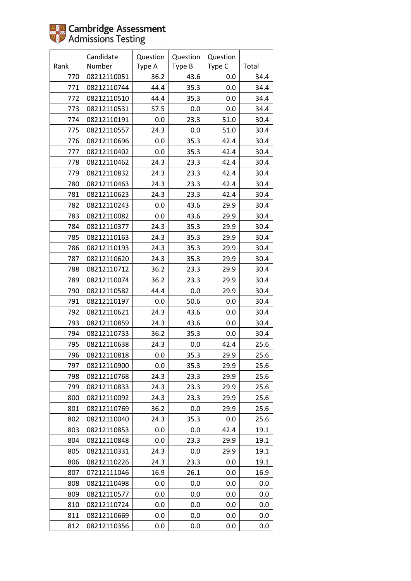|      | Candidate   | Question | Question | Question |       |
|------|-------------|----------|----------|----------|-------|
| Rank | Number      | Type A   | Type B   | Type C   | Total |
| 770  | 08212110051 | 36.2     | 43.6     | 0.0      | 34.4  |
| 771  | 08212110744 | 44.4     | 35.3     | 0.0      | 34.4  |
| 772  | 08212110510 | 44.4     | 35.3     | 0.0      | 34.4  |
| 773  | 08212110531 | 57.5     | 0.0      | 0.0      | 34.4  |
| 774  | 08212110191 | 0.0      | 23.3     | 51.0     | 30.4  |
| 775  | 08212110557 | 24.3     | 0.0      | 51.0     | 30.4  |
| 776  | 08212110696 | 0.0      | 35.3     | 42.4     | 30.4  |
| 777  | 08212110402 | 0.0      | 35.3     | 42.4     | 30.4  |
| 778  | 08212110462 | 24.3     | 23.3     | 42.4     | 30.4  |
| 779  | 08212110832 | 24.3     | 23.3     | 42.4     | 30.4  |
| 780  | 08212110463 | 24.3     | 23.3     | 42.4     | 30.4  |
| 781  | 08212110623 | 24.3     | 23.3     | 42.4     | 30.4  |
| 782  | 08212110243 | 0.0      | 43.6     | 29.9     | 30.4  |
| 783  | 08212110082 | 0.0      | 43.6     | 29.9     | 30.4  |
| 784  | 08212110377 | 24.3     | 35.3     | 29.9     | 30.4  |
| 785  | 08212110163 | 24.3     | 35.3     | 29.9     | 30.4  |
| 786  | 08212110193 | 24.3     | 35.3     | 29.9     | 30.4  |
| 787  | 08212110620 | 24.3     | 35.3     | 29.9     | 30.4  |
| 788  | 08212110712 | 36.2     | 23.3     | 29.9     | 30.4  |
| 789  | 08212110074 | 36.2     | 23.3     | 29.9     | 30.4  |
| 790  | 08212110582 | 44.4     | 0.0      | 29.9     | 30.4  |
| 791  | 08212110197 | 0.0      | 50.6     | 0.0      | 30.4  |
| 792  | 08212110621 | 24.3     | 43.6     | 0.0      | 30.4  |
| 793  | 08212110859 | 24.3     | 43.6     | 0.0      | 30.4  |
| 794  | 08212110733 | 36.2     | 35.3     | 0.0      | 30.4  |
| 795  | 08212110638 | 24.3     | 0.0      | 42.4     | 25.6  |
| 796  | 08212110818 | 0.0      | 35.3     | 29.9     | 25.6  |
| 797  | 08212110900 | 0.0      | 35.3     | 29.9     | 25.6  |
| 798  | 08212110768 | 24.3     | 23.3     | 29.9     | 25.6  |
| 799  | 08212110833 | 24.3     | 23.3     | 29.9     | 25.6  |
| 800  | 08212110092 | 24.3     | 23.3     | 29.9     | 25.6  |
| 801  | 08212110769 | 36.2     | 0.0      | 29.9     | 25.6  |
| 802  | 08212110040 | 24.3     | 35.3     | 0.0      | 25.6  |
| 803  | 08212110853 | 0.0      | 0.0      | 42.4     | 19.1  |
| 804  | 08212110848 | 0.0      | 23.3     | 29.9     | 19.1  |
| 805  | 08212110331 | 24.3     | 0.0      | 29.9     | 19.1  |
| 806  | 08212110226 | 24.3     | 23.3     | 0.0      | 19.1  |
| 807  | 07212111046 | 16.9     | 26.1     | 0.0      | 16.9  |
| 808  | 08212110498 | 0.0      | 0.0      | 0.0      | 0.0   |
| 809  | 08212110577 | 0.0      | 0.0      | 0.0      | 0.0   |
| 810  | 08212110724 | 0.0      | 0.0      | 0.0      | 0.0   |
| 811  | 08212110669 | 0.0      | 0.0      | 0.0      | 0.0   |
| 812  | 08212110356 | 0.0      | 0.0      | 0.0      | 0.0   |